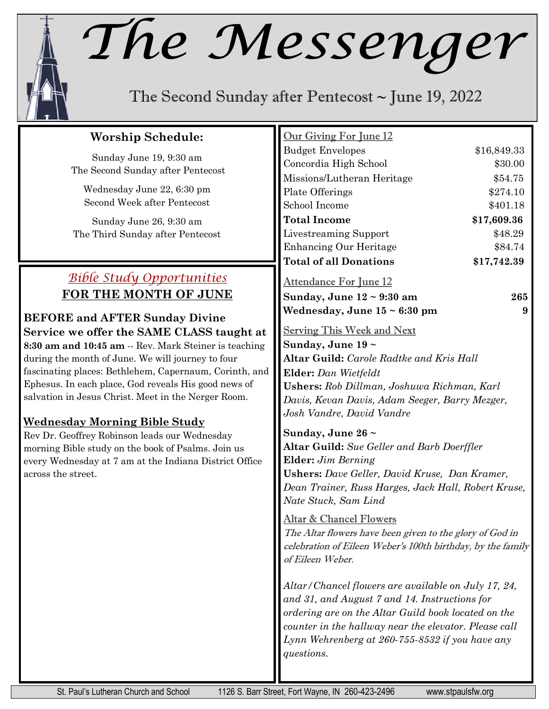## The Messenger

The Second Sunday after Pentecost  $\sim$  June 19, 2022

#### **Worship Schedule:**

Sunday June 19, 9:30 am The Second Sunday after Pentecost

Wednesday June 22, 6:30 pm Second Week after Pentecost

Sunday June 26, 9:30 am The Third Sunday after Pentecost

### *Bible Study Opportunities* **FOR THE MONTH OF JUNE**

**BEFORE and AFTER Sunday Divine Service we offer the SAME CLASS taught at 8:30 am and 10:45 am** -- Rev. Mark Steiner is teaching during the month of June. We will journey to four fascinating places: Bethlehem, Capernaum, Corinth, and Ephesus. In each place, God reveals His good news of salvation in Jesus Christ. Meet in the Nerger Room.

#### **Wednesday Morning Bible Study**

Rev Dr. Geoffrey Robinson leads our Wednesday morning Bible study on the book of Psalms. Join us every Wednesday at 7 am at the Indiana District Office across the street.

| Our Giving For June 12                                      |             |  |  |  |  |  |
|-------------------------------------------------------------|-------------|--|--|--|--|--|
| <b>Budget Envelopes</b>                                     | \$16,849.33 |  |  |  |  |  |
| Concordia High School                                       | \$30.00     |  |  |  |  |  |
| Missions/Lutheran Heritage                                  | \$54.75     |  |  |  |  |  |
| Plate Offerings                                             | \$274.10    |  |  |  |  |  |
| School Income                                               | \$401.18    |  |  |  |  |  |
| <b>Total Income</b>                                         | \$17,609.36 |  |  |  |  |  |
| Livestreaming Support                                       | \$48.29     |  |  |  |  |  |
| Enhancing Our Heritage                                      | \$84.74     |  |  |  |  |  |
| <b>Total of all Donations</b>                               | \$17,742.39 |  |  |  |  |  |
| <u>Attendance For June 12</u>                               |             |  |  |  |  |  |
| Sunday, June 12 ~ 9:30 am                                   | 265         |  |  |  |  |  |
| Wednesday, June $15 < 6:30$ pm                              | 9           |  |  |  |  |  |
|                                                             |             |  |  |  |  |  |
| <b>Serving This Week and Next</b>                           |             |  |  |  |  |  |
| Sunday, June $19 \sim$                                      |             |  |  |  |  |  |
| <b>Altar Guild:</b> Carole Radtke and Kris Hall             |             |  |  |  |  |  |
| <b>Elder:</b> Dan Wietfeldt                                 |             |  |  |  |  |  |
| <b>Ushers:</b> Rob Dillman, Joshuwa Richman, Karl           |             |  |  |  |  |  |
| Davis, Kevan Davis, Adam Seeger, Barry Mezger,              |             |  |  |  |  |  |
| Josh Vandre, David Vandre                                   |             |  |  |  |  |  |
| Sunday, June 26 $\sim$                                      |             |  |  |  |  |  |
| Altar Guild: Sue Geller and Barb Doerffler                  |             |  |  |  |  |  |
| <b>Elder:</b> Jim Berning                                   |             |  |  |  |  |  |
| <b>Ushers:</b> Dave Geller, David Kruse, Dan Kramer,        |             |  |  |  |  |  |
| Dean Trainer, Russ Harges, Jack Hall, Robert Kruse,         |             |  |  |  |  |  |
| Nate Stuck, Sam Lind                                        |             |  |  |  |  |  |
| <u> Altar &amp; Chancel Flowers</u>                         |             |  |  |  |  |  |
| The Altar flowers have been given to the glory of God in    |             |  |  |  |  |  |
| celebration of Eileen Weber's 100th birthday, by the family |             |  |  |  |  |  |
| of Eileen Weber.                                            |             |  |  |  |  |  |
|                                                             |             |  |  |  |  |  |
| Altar/Chancel flowers are available on July 17, 24,         |             |  |  |  |  |  |
| and 31, and August 7 and 14. Instructions for               |             |  |  |  |  |  |
| ordering are on the Altar Guild book located on the         |             |  |  |  |  |  |
| counter in the hallway near the elevator. Please call       |             |  |  |  |  |  |
| Lynn Wehrenberg at 260-755-8532 if you have any             |             |  |  |  |  |  |

*questions.*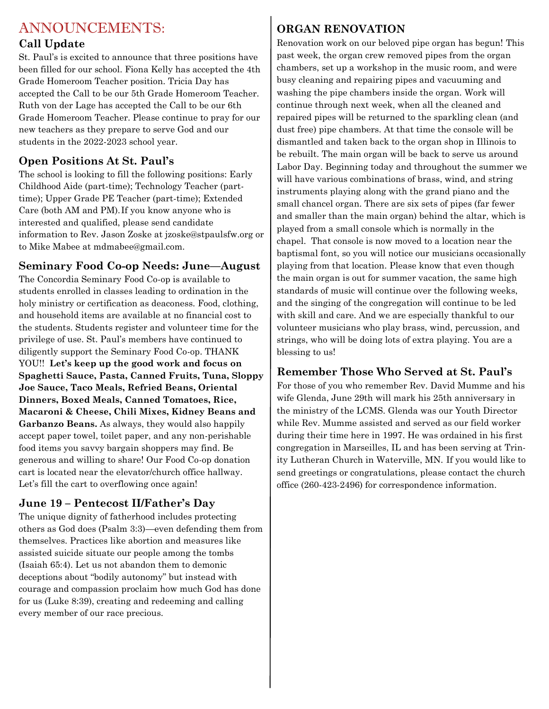#### ANNOUNCEMENTS:

#### **Call Update**

St. Paul's is excited to announce that three positions have been filled for our school. Fiona Kelly has accepted the 4th Grade Homeroom Teacher position. Tricia Day has accepted the Call to be our 5th Grade Homeroom Teacher. Ruth von der Lage has accepted the Call to be our 6th Grade Homeroom Teacher. Please continue to pray for our new teachers as they prepare to serve God and our students in the 2022-2023 school year.

#### **Open Positions At St. Paul's**

The school is looking to fill the following positions: Early Childhood Aide (part-time); Technology Teacher (parttime); Upper Grade PE Teacher (part-time); Extended Care (both AM and PM).If you know anyone who is interested and qualified, please send candidate information to Rev. Jason Zoske at jzoske@stpaulsfw.org or to Mike Mabee at mdmabee@gmail.com.

#### **Seminary Food Co-op Needs: June—August**

The Concordia Seminary Food Co-op is available to students enrolled in classes leading to ordination in the holy ministry or certification as deaconess. Food, clothing, and household items are available at no financial cost to the students. Students register and volunteer time for the privilege of use. St. Paul's members have continued to diligently support the Seminary Food Co-op. THANK YOU!! **Let's keep up the good work and focus on Spaghetti Sauce, Pasta, Canned Fruits, Tuna, Sloppy Joe Sauce, Taco Meals, Refried Beans, Oriental Dinners, Boxed Meals, Canned Tomatoes, Rice, Macaroni & Cheese, Chili Mixes, Kidney Beans and Garbanzo Beans.** As always, they would also happily accept paper towel, toilet paper, and any non-perishable food items you savvy bargain shoppers may find. Be generous and willing to share! Our Food Co-op donation cart is located near the elevator/church office hallway. Let's fill the cart to overflowing once again!

#### **June 19 – Pentecost II/Father's Day**

The unique dignity of fatherhood includes protecting others as God does (Psalm 3:3)—even defending them from themselves. Practices like abortion and measures like assisted suicide situate our people among the tombs (Isaiah 65:4). Let us not abandon them to demonic deceptions about "bodily autonomy" but instead with courage and compassion proclaim how much God has done for us (Luke 8:39), creating and redeeming and calling every member of our race precious.

#### **ORGAN RENOVATION**

Renovation work on our beloved pipe organ has begun! This past week, the organ crew removed pipes from the organ chambers, set up a workshop in the music room, and were busy cleaning and repairing pipes and vacuuming and washing the pipe chambers inside the organ. Work will continue through next week, when all the cleaned and repaired pipes will be returned to the sparkling clean (and dust free) pipe chambers. At that time the console will be dismantled and taken back to the organ shop in Illinois to be rebuilt. The main organ will be back to serve us around Labor Day. Beginning today and throughout the summer we will have various combinations of brass, wind, and string instruments playing along with the grand piano and the small chancel organ. There are six sets of pipes (far fewer and smaller than the main organ) behind the altar, which is played from a small console which is normally in the chapel. That console is now moved to a location near the baptismal font, so you will notice our musicians occasionally playing from that location. Please know that even though the main organ is out for summer vacation, the same high standards of music will continue over the following weeks, and the singing of the congregation will continue to be led with skill and care. And we are especially thankful to our volunteer musicians who play brass, wind, percussion, and strings, who will be doing lots of extra playing. You are a blessing to us!

#### **Remember Those Who Served at St. Paul's**

For those of you who remember Rev. David Mumme and his wife Glenda, June 29th will mark his 25th anniversary in the ministry of the LCMS. Glenda was our Youth Director while Rev. Mumme assisted and served as our field worker during their time here in 1997. He was ordained in his first congregation in Marseilles, IL and has been serving at Trinity Lutheran Church in Waterville, MN. If you would like to send greetings or congratulations, please contact the church office (260-423-2496) for correspondence information.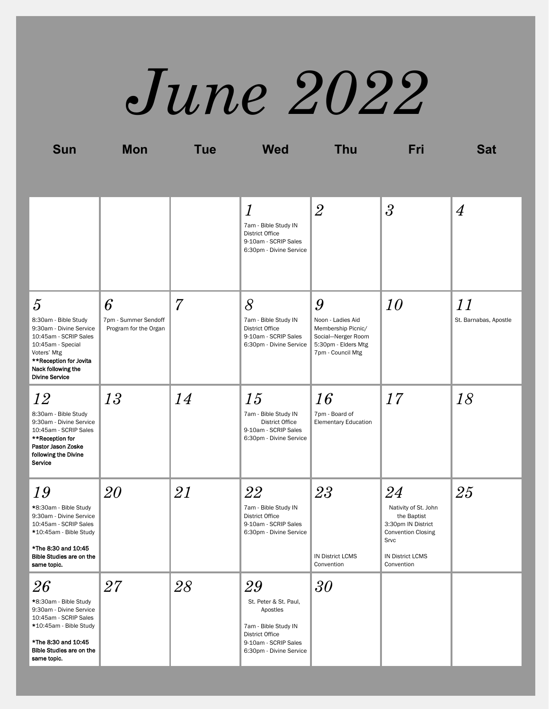# *June 2022*

**Sun Mon Tue Wed Thu Fri Sat**

|                                                                                                                                                                                                         |                                                    |    | $\overline{l}$<br>7am - Bible Study IN<br><b>District Office</b><br>9-10am - SCRIP Sales<br>6:30pm - Divine Service                          | $\overline{2}$                                                                                                 | $\overline{3}$                                                                                                                                | $\overline{4}$              |
|---------------------------------------------------------------------------------------------------------------------------------------------------------------------------------------------------------|----------------------------------------------------|----|----------------------------------------------------------------------------------------------------------------------------------------------|----------------------------------------------------------------------------------------------------------------|-----------------------------------------------------------------------------------------------------------------------------------------------|-----------------------------|
| $\overline{5}$<br>8:30am - Bible Study<br>9:30am - Divine Service<br>10:45am - SCRIP Sales<br>10:45am - Special<br>Voters' Mtg<br>**Reception for Jovita<br>Nack following the<br><b>Divine Service</b> | 6<br>7pm - Summer Sendoff<br>Program for the Organ | 7  | 8<br>7am - Bible Study IN<br><b>District Office</b><br>9-10am - SCRIP Sales<br>6:30pm - Divine Service                                       | 9<br>Noon - Ladies Aid<br>Membership Picnic/<br>Social-Nerger Room<br>5:30pm - Elders Mtg<br>7pm - Council Mtg | 10                                                                                                                                            | 11<br>St. Barnabas, Apostle |
| 12<br>8:30am - Bible Study<br>9:30am - Divine Service<br>10:45am - SCRIP Sales<br>**Reception for<br>Pastor Jason Zoske<br>following the Divine<br>Service                                              | 13                                                 | 14 | 15<br>7am - Bible Study IN<br><b>District Office</b><br>9-10am - SCRIP Sales<br>6:30pm - Divine Service                                      | 16<br>7pm - Board of<br><b>Elementary Education</b>                                                            | 17                                                                                                                                            | 18                          |
| 19<br>*8:30am - Bible Study<br>9:30am - Divine Service<br>10:45am - SCRIP Sales<br>*10:45am - Bible Study<br>*The 8:30 and 10:45<br>Bible Studies are on the<br>same topic.                             | 20                                                 | 21 | 22<br>7am - Bible Study IN<br><b>District Office</b><br>9-10am - SCRIP Sales<br>6:30pm - Divine Service                                      | 23<br><b>IN District LCMS</b><br>Convention                                                                    | 24<br>Nativity of St. John<br>the Baptist<br>3:30pm IN District<br><b>Convention Closing</b><br>Srvc<br><b>IN District LCMS</b><br>Convention | 25                          |
| 26<br>*8:30am - Bible Study<br>9:30am - Divine Service<br>10:45am - SCRIP Sales<br>*10:45am - Bible Study<br>*The 8:30 and 10:45<br>Bible Studies are on the<br>same topic.                             | $27\,$                                             | 28 | 29<br>St. Peter & St. Paul,<br>Apostles<br>7am - Bible Study IN<br><b>District Office</b><br>9-10am - SCRIP Sales<br>6:30pm - Divine Service | 30                                                                                                             |                                                                                                                                               |                             |